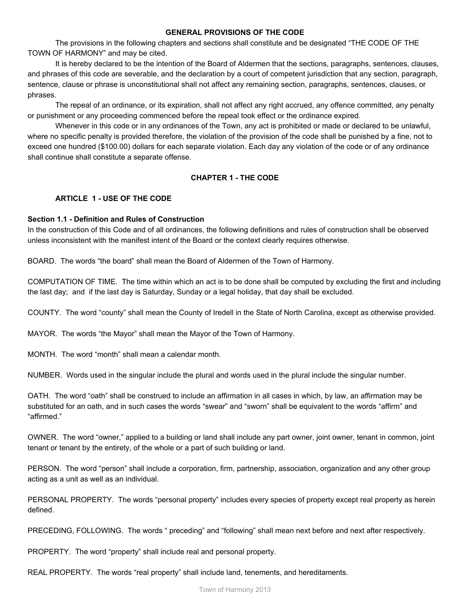### **GENERAL PROVISIONS OF THE CODE**

The provisions in the following chapters and sections shall constitute and be designated "THE CODE OF THE TOWN OF HARMONY" and may be cited.

It is hereby declared to be the intention of the Board of Aldermen that the sections, paragraphs, sentences, clauses, and phrases of this code are severable, and the declaration by a court of competent jurisdiction that any section, paragraph, sentence, clause or phrase is unconstitutional shall not affect any remaining section, paragraphs, sentences, clauses, or phrases.

The repeal of an ordinance, or its expiration, shall not affect any right accrued, any offence committed, any penalty or punishment or any proceeding commenced before the repeal took effect or the ordinance expired.

Whenever in this code or in any ordinances of the Town, any act is prohibited or made or declared to be unlawful, where no specific penalty is provided therefore, the violation of the provision of the code shall be punished by a fine, not to exceed one hundred (\$100.00) dollars for each separate violation. Each day any violation of the code or of any ordinance shall continue shall constitute a separate offense.

# **CHAPTER 1 THE CODE**

# **ARTICLE 1 USE OF THE CODE**

## **Section 1.1 Definition and Rules of Construction**

In the construction of this Code and of all ordinances, the following definitions and rules of construction shall be observed unless inconsistent with the manifest intent of the Board or the context clearly requires otherwise.

BOARD. The words "the board" shall mean the Board of Aldermen of the Town of Harmony.

COMPUTATION OF TIME. The time within which an act is to be done shall be computed by excluding the first and including the last day; and if the last day is Saturday, Sunday or a legal holiday, that day shall be excluded.

COUNTY. The word "county" shall mean the County of Iredell in the State of North Carolina, except as otherwise provided.

MAYOR. The words "the Mayor" shall mean the Mayor of the Town of Harmony.

MONTH. The word "month" shall mean a calendar month.

NUMBER. Words used in the singular include the plural and words used in the plural include the singular number.

OATH. The word "oath" shall be construed to include an affirmation in all cases in which, by law, an affirmation may be substituted for an oath, and in such cases the words "swear" and "sworn" shall be equivalent to the words "affirm" and "affirmed."

OWNER. The word "owner," applied to a building or land shall include any part owner, joint owner, tenant in common, joint tenant or tenant by the entirety, of the whole or a part of such building or land.

PERSON. The word "person" shall include a corporation, firm, partnership, association, organization and any other group acting as a unit as well as an individual.

PERSONAL PROPERTY. The words "personal property" includes every species of property except real property as herein defined.

PRECEDING, FOLLOWING. The words " preceding" and "following" shall mean next before and next after respectively.

PROPERTY. The word "property" shall include real and personal property.

REAL PROPERTY. The words "real property" shall include land, tenements, and hereditaments.